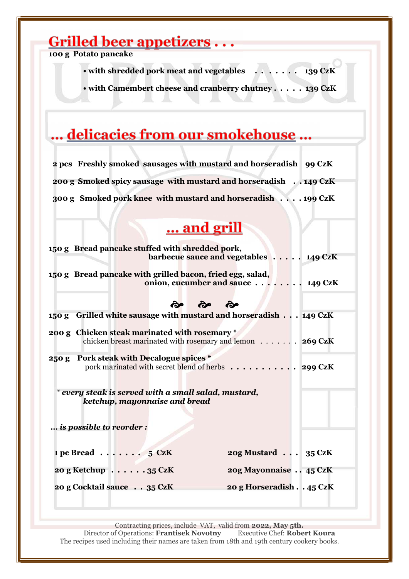# **Grilled beer appetizers...**

• with shredded pork meat and vegetables . . . . . . . 139 CzK

• with Camembert cheese and cranberry chutney . . . . . 139 CzK

| 2 pcs Freshly smoked sausages with mustard and horseradish 99 CzK |  |
|-------------------------------------------------------------------|--|
| 200 g Smoked spicy sausage with mustard and horseradish 149 CzK   |  |
| 300 g Smoked pork knee with mustard and horseradish 199 CzK       |  |

## ... and grill

| 150 g Bread pancake stuffed with shredded pork,                  |                 |                                                          |  |
|------------------------------------------------------------------|-----------------|----------------------------------------------------------|--|
|                                                                  |                 | barbecue sauce and vegetables 149 CzK                    |  |
| 150 g Bread pancake with grilled bacon, fried egg, salad,        |                 | onion, cucumber and sauce 149 CzK                        |  |
|                                                                  | <b>के के ले</b> |                                                          |  |
| 150 g Grilled white sausage with mustard and horseradish 149 CzK |                 |                                                          |  |
| 200 g Chicken steak marinated with rosemary *                    |                 |                                                          |  |
|                                                                  |                 | chicken breast marinated with rosemary and lemon 269 CzK |  |
| 250 g Pork steak with Decalogue spices *                         |                 |                                                          |  |
|                                                                  |                 | pork marinated with secret blend of herbs 299 CzK        |  |
|                                                                  |                 |                                                          |  |
| * every steak is served with a small salad, mustard,             |                 |                                                          |  |
| ketchup, mayonnaise and bread                                    |                 |                                                          |  |
|                                                                  |                 |                                                          |  |
| is possible to reorder :                                         |                 |                                                          |  |
|                                                                  |                 |                                                          |  |
| 1 pc Bread $\ldots$ . 5 CzK                                      |                 | 20g Mustard 35 CzK                                       |  |
|                                                                  |                 |                                                          |  |
| 20 g Ketchup $\ldots \ldots 35$ CzK                              |                 | 20g Mayonnaise 45 CzK                                    |  |
| 20 g Cocktail sauce 35 CzK                                       |                 | 20 g Horseradish. . 45 CzK                               |  |
|                                                                  |                 |                                                          |  |

Contracting prices, include VAT, valid from 2022, May 5th. Director of Operations: Frantisek Novotny Executive Chef: Robert Koura The recipes used including their names are taken from 18th and 19th century cookery books.